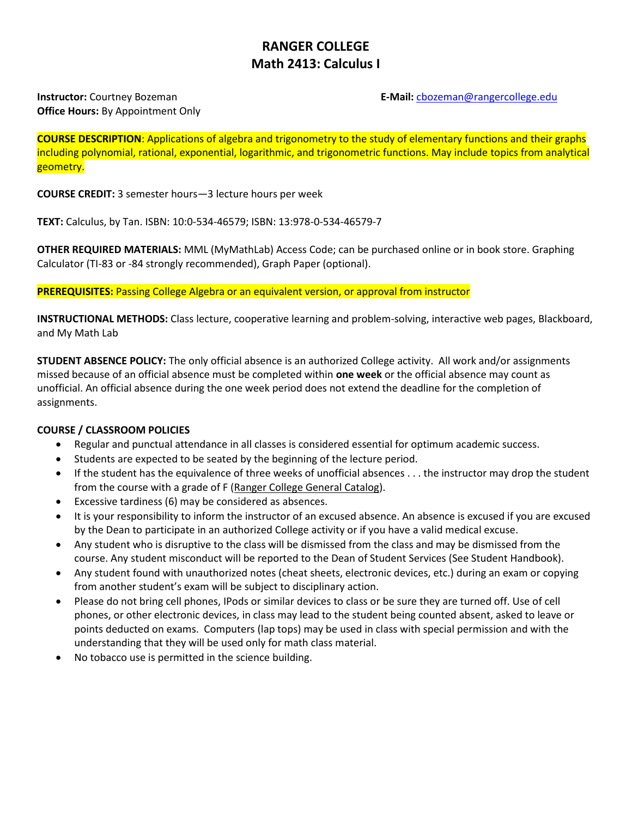# **RANGER COLLEGE Math 2413: Calculus I**

# **Office Hours:** By Appointment Only

#### **Instructor:** Courtney Bozeman **E-Mail: Constructor:** Courtney Bozeman **E-Mail: E-Mail: Constructor:** Courtney Bozeman

**COURSE DESCRIPTION**: Applications of algebra and trigonometry to the study of elementary functions and their graphs including polynomial, rational, exponential, logarithmic, and trigonometric functions. May include topics from analytical geometry.

**COURSE CREDIT:** 3 semester hours—3 lecture hours per week

**TEXT:** Calculus, by Tan. ISBN: 10:0-534-46579; ISBN: 13:978-0-534-46579-7

**OTHER REQUIRED MATERIALS:** MML (MyMathLab) Access Code; can be purchased online or in book store. Graphing Calculator (TI-83 or -84 strongly recommended), Graph Paper (optional).

**PREREQUISITES:** Passing College Algebra or an equivalent version, or approval from instructor

**INSTRUCTIONAL METHODS:** Class lecture, cooperative learning and problem-solving, interactive web pages, Blackboard, and My Math Lab

**STUDENT ABSENCE POLICY:** The only official absence is an authorized College activity. All work and/or assignments missed because of an official absence must be completed within **one week** or the official absence may count as unofficial. An official absence during the one week period does not extend the deadline for the completion of assignments.

## **COURSE / CLASSROOM POLICIES**

- Regular and punctual attendance in all classes is considered essential for optimum academic success.
- Students are expected to be seated by the beginning of the lecture period.
- If the student has the equivalence of three weeks of unofficial absences . . . the instructor may drop the student from the course with a grade of F (Ranger College General Catalog).
- Excessive tardiness (6) may be considered as absences.
- It is your responsibility to inform the instructor of an excused absence. An absence is excused if you are excused by the Dean to participate in an authorized College activity or if you have a valid medical excuse.
- Any student who is disruptive to the class will be dismissed from the class and may be dismissed from the course. Any student misconduct will be reported to the Dean of Student Services (See Student Handbook).
- Any student found with unauthorized notes (cheat sheets, electronic devices, etc.) during an exam or copying from another student's exam will be subject to disciplinary action.
- Please do not bring cell phones, IPods or similar devices to class or be sure they are turned off. Use of cell phones, or other electronic devices, in class may lead to the student being counted absent, asked to leave or points deducted on exams. Computers (lap tops) may be used in class with special permission and with the understanding that they will be used only for math class material.
- No tobacco use is permitted in the science building.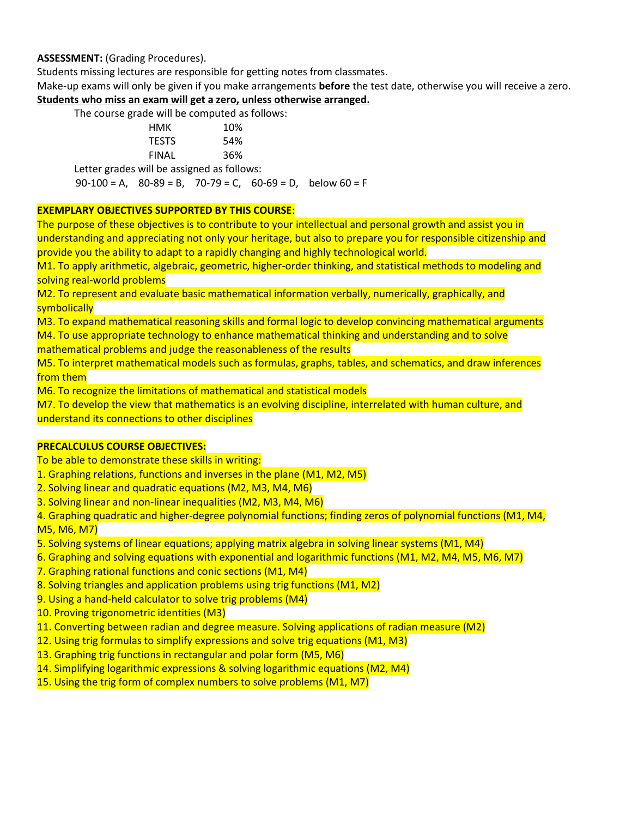#### **ASSESSMENT:** (Grading Procedures).

Students missing lectures are responsible for getting notes from classmates.

Make-up exams will only be given if you make arrangements **before** the test date, otherwise you will receive a zero. **Students who miss an exam will get a zero, unless otherwise arranged.**

| The course grade will be computed as follows: |     |
|-----------------------------------------------|-----|
| нмк                                           | 10% |
| <b>TESTS</b>                                  | 54% |
| <b>FINAL</b>                                  | 36% |
| Letter grades will be assigned as follows:    |     |

 $90-100 = A$ ,  $80-89 = B$ ,  $70-79 = C$ ,  $60-69 = D$ , below  $60 = F$ 

#### **EXEMPLARY OBJECTIVES SUPPORTED BY THIS COURSE**:

The purpose of these objectives is to contribute to your intellectual and personal growth and assist you in understanding and appreciating not only your heritage, but also to prepare you for responsible citizenship and provide you the ability to adapt to a rapidly changing and highly technological world.

M1. To apply arithmetic, algebraic, geometric, higher-order thinking, and statistical methods to modeling and solving real-world problems

M2. To represent and evaluate basic mathematical information verbally, numerically, graphically, and symbolically

M3. To expand mathematical reasoning skills and formal logic to develop convincing mathematical arguments M4. To use appropriate technology to enhance mathematical thinking and understanding and to solve

mathematical problems and judge the reasonableness of the results

M5. To interpret mathematical models such as formulas, graphs, tables, and schematics, and draw inferences from them

M6. To recognize the limitations of mathematical and statistical models

M7. To develop the view that mathematics is an evolving discipline, interrelated with human culture, and understand its connections to other disciplines

## **PRECALCULUS COURSE OBJECTIVES:**

To be able to demonstrate these skills in writing:

1. Graphing relations, functions and inverses in the plane (M1, M2, M5)

2. Solving linear and quadratic equations (M2, M3, M4, M6)

3. Solving linear and non-linear inequalities (M2, M3, M4, M6)

4. Graphing quadratic and higher-degree polynomial functions; finding zeros of polynomial functions (M1, M4, M5, M6, M7)

5. Solving systems of linear equations; applying matrix algebra in solving linear systems (M1, M4)

6. Graphing and solving equations with exponential and logarithmic functions (M1, M2, M4, M5, M6, M7)

7. Graphing rational functions and conic sections (M1, M4)

8. Solving triangles and application problems using trig functions (M1, M2)

9. Using a hand-held calculator to solve trig problems (M4)

10. Proving trigonometric identities (M3)

11. Converting between radian and degree measure. Solving applications of radian measure (M2)

- 12. Using trig formulas to simplify expressions and solve trig equations (M1, M3)
- 13. Graphing trig functions in rectangular and polar form (M5, M6)

14. Simplifying logarithmic expressions & solving logarithmic equations (M2, M4)

15. Using the trig form of complex numbers to solve problems (M1, M7)